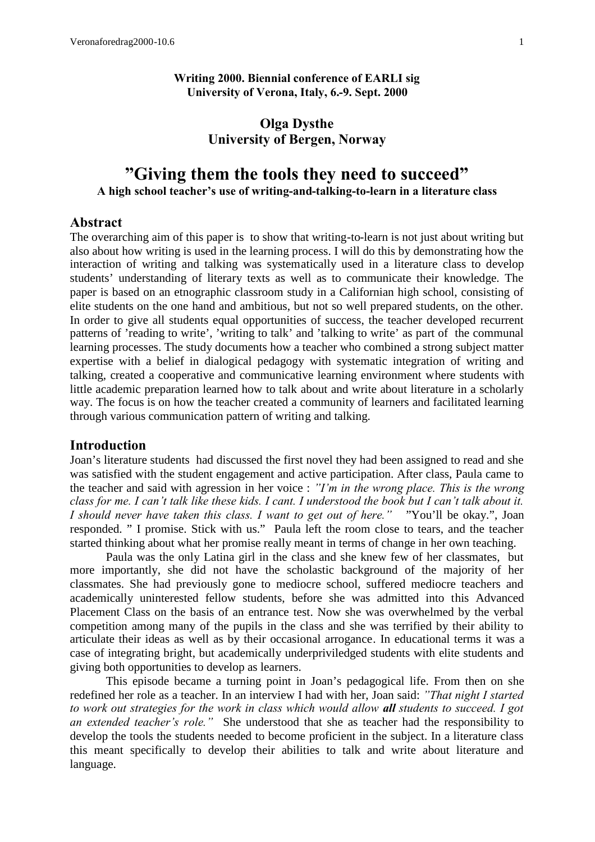### **Olga Dysthe University of Bergen, Norway**

# **"Giving them the tools they need to succeed" A high school teacher's use of writing-and-talking-to-learn in a literature class**

### **Abstract**

The overarching aim of this paper is to show that writing-to-learn is not just about writing but also about how writing is used in the learning process. I will do this by demonstrating how the interaction of writing and talking was systematically used in a literature class to develop students' understanding of literary texts as well as to communicate their knowledge. The paper is based on an etnographic classroom study in a Californian high school, consisting of elite students on the one hand and ambitious, but not so well prepared students, on the other. In order to give all students equal opportunities of success, the teacher developed recurrent patterns of 'reading to write', 'writing to talk' and 'talking to write' as part of the communal learning processes. The study documents how a teacher who combined a strong subject matter expertise with a belief in dialogical pedagogy with systematic integration of writing and talking, created a cooperative and communicative learning environment where students with little academic preparation learned how to talk about and write about literature in a scholarly way. The focus is on how the teacher created a community of learners and facilitated learning through various communication pattern of writing and talking.

### **Introduction**

Joan's literature students had discussed the first novel they had been assigned to read and she was satisfied with the student engagement and active participation. After class, Paula came to the teacher and said with agression in her voice : *"I'm in the wrong place. This is the wrong class for me. I can't talk like these kids. I cant. I understood the book but I can't talk about it. I should never have taken this class. I want to get out of here."* "You'll be okay.", Joan responded. " I promise. Stick with us." Paula left the room close to tears, and the teacher started thinking about what her promise really meant in terms of change in her own teaching.

Paula was the only Latina girl in the class and she knew few of her classmates, but more importantly, she did not have the scholastic background of the majority of her classmates. She had previously gone to mediocre school, suffered mediocre teachers and academically uninterested fellow students, before she was admitted into this Advanced Placement Class on the basis of an entrance test. Now she was overwhelmed by the verbal competition among many of the pupils in the class and she was terrified by their ability to articulate their ideas as well as by their occasional arrogance. In educational terms it was a case of integrating bright, but academically underpriviledged students with elite students and giving both opportunities to develop as learners.

This episode became a turning point in Joan's pedagogical life. From then on she redefined her role as a teacher. In an interview I had with her, Joan said: *"That night I started to work out strategies for the work in class which would allow all students to succeed. I got an extended teacher's role."* She understood that she as teacher had the responsibility to develop the tools the students needed to become proficient in the subject. In a literature class this meant specifically to develop their abilities to talk and write about literature and language.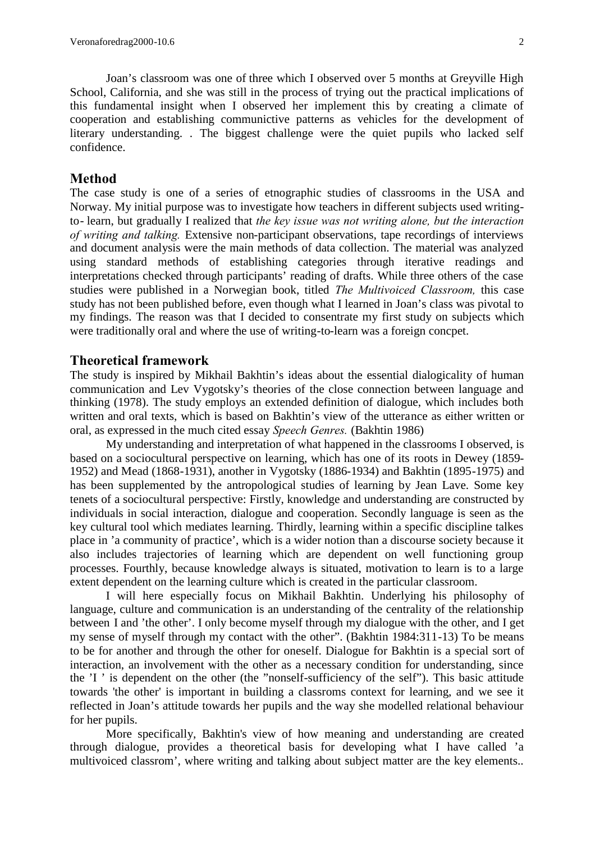Joan's classroom was one of three which I observed over 5 months at Greyville High School, California, and she was still in the process of trying out the practical implications of this fundamental insight when I observed her implement this by creating a climate of cooperation and establishing communictive patterns as vehicles for the development of literary understanding. . The biggest challenge were the quiet pupils who lacked self confidence.

## **Method**

The case study is one of a series of etnographic studies of classrooms in the USA and Norway. My initial purpose was to investigate how teachers in different subjects used writingto- learn, but gradually I realized that *the key issue was not writing alone, but the interaction of writing and talking.* Extensive non-participant observations, tape recordings of interviews and document analysis were the main methods of data collection. The material was analyzed using standard methods of establishing categories through iterative readings and interpretations checked through participants' reading of drafts. While three others of the case studies were published in a Norwegian book, titled *The Multivoiced Classroom,* this case study has not been published before, even though what I learned in Joan's class was pivotal to my findings. The reason was that I decided to consentrate my first study on subjects which were traditionally oral and where the use of writing-to-learn was a foreign concpet.

## **Theoretical framework**

The study is inspired by Mikhail Bakhtin's ideas about the essential dialogicality of human communication and Lev Vygotsky's theories of the close connection between language and thinking (1978). The study employs an extended definition of dialogue, which includes both written and oral texts, which is based on Bakhtin's view of the utterance as either written or oral, as expressed in the much cited essay *Speech Genres.* (Bakhtin 1986)

My understanding and interpretation of what happened in the classrooms I observed, is based on a sociocultural perspective on learning, which has one of its roots in Dewey (1859- 1952) and Mead (1868-1931), another in Vygotsky (1886-1934) and Bakhtin (1895-1975) and has been supplemented by the antropological studies of learning by Jean Lave. Some key tenets of a sociocultural perspective: Firstly, knowledge and understanding are constructed by individuals in social interaction, dialogue and cooperation. Secondly language is seen as the key cultural tool which mediates learning. Thirdly, learning within a specific discipline talkes place in 'a community of practice', which is a wider notion than a discourse society because it also includes trajectories of learning which are dependent on well functioning group processes. Fourthly, because knowledge always is situated, motivation to learn is to a large extent dependent on the learning culture which is created in the particular classroom.

I will here especially focus on Mikhail Bakhtin. Underlying his philosophy of language, culture and communication is an understanding of the centrality of the relationship between I and 'the other'. I only become myself through my dialogue with the other, and I get my sense of myself through my contact with the other". (Bakhtin 1984:311-13) To be means to be for another and through the other for oneself. Dialogue for Bakhtin is a special sort of interaction, an involvement with the other as a necessary condition for understanding, since the 'I ' is dependent on the other (the "nonself-sufficiency of the self"). This basic attitude towards 'the other' is important in building a classroms context for learning, and we see it reflected in Joan's attitude towards her pupils and the way she modelled relational behaviour for her pupils.

More specifically, Bakhtin's view of how meaning and understanding are created through dialogue, provides a theoretical basis for developing what I have called 'a multivoiced classrom', where writing and talking about subject matter are the key elements..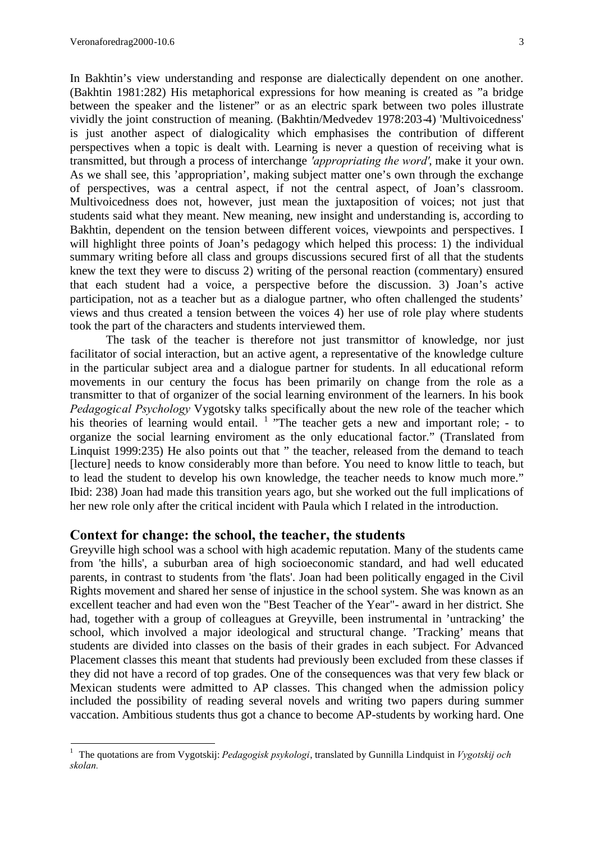In Bakhtin's view understanding and response are dialectically dependent on one another. (Bakhtin 1981:282) His metaphorical expressions for how meaning is created as "a bridge

between the speaker and the listener" or as an electric spark between two poles illustrate vividly the joint construction of meaning. (Bakhtin/Medvedev 1978:203-4) 'Multivoicedness' is just another aspect of dialogicality which emphasises the contribution of different perspectives when a topic is dealt with. Learning is never a question of receiving what is transmitted, but through a process of interchange *'appropriating the word'*, make it your own. As we shall see, this 'appropriation', making subject matter one's own through the exchange of perspectives, was a central aspect, if not the central aspect, of Joan's classroom. Multivoicedness does not, however, just mean the juxtaposition of voices; not just that students said what they meant. New meaning, new insight and understanding is, according to Bakhtin, dependent on the tension between different voices, viewpoints and perspectives. I will highlight three points of Joan's pedagogy which helped this process: 1) the individual summary writing before all class and groups discussions secured first of all that the students knew the text they were to discuss 2) writing of the personal reaction (commentary) ensured that each student had a voice, a perspective before the discussion. 3) Joan's active participation, not as a teacher but as a dialogue partner, who often challenged the students' views and thus created a tension between the voices 4) her use of role play where students took the part of the characters and students interviewed them.

The task of the teacher is therefore not just transmittor of knowledge, nor just facilitator of social interaction, but an active agent, a representative of the knowledge culture in the particular subject area and a dialogue partner for students. In all educational reform movements in our century the focus has been primarily on change from the role as a transmitter to that of organizer of the social learning environment of the learners. In his book *Pedagogical Psychology* Vygotsky talks specifically about the new role of the teacher which his theories of learning would entail.  $1$  "The teacher gets a new and important role; - to organize the social learning enviroment as the only educational factor." (Translated from Linquist 1999:235) He also points out that " the teacher, released from the demand to teach [lecture] needs to know considerably more than before. You need to know little to teach, but to lead the student to develop his own knowledge, the teacher needs to know much more." Ibid: 238) Joan had made this transition years ago, but she worked out the full implications of her new role only after the critical incident with Paula which I related in the introduction.

### **Context for change: the school, the teacher, the students**

Greyville high school was a school with high academic reputation. Many of the students came from 'the hills', a suburban area of high socioeconomic standard, and had well educated parents, in contrast to students from 'the flats'. Joan had been politically engaged in the Civil Rights movement and shared her sense of injustice in the school system. She was known as an excellent teacher and had even won the "Best Teacher of the Year"- award in her district. She had, together with a group of colleagues at Greyville, been instrumental in 'untracking' the school, which involved a major ideological and structural change. 'Tracking' means that students are divided into classes on the basis of their grades in each subject. For Advanced Placement classes this meant that students had previously been excluded from these classes if they did not have a record of top grades. One of the consequences was that very few black or Mexican students were admitted to AP classes. This changed when the admission policy included the possibility of reading several novels and writing two papers during summer vaccation. Ambitious students thus got a chance to become AP-students by working hard. One

<sup>1</sup> The quotations are from Vygotskij: *Pedagogisk psykologi*, translated by Gunnilla Lindquist in *Vygotskij och skolan.*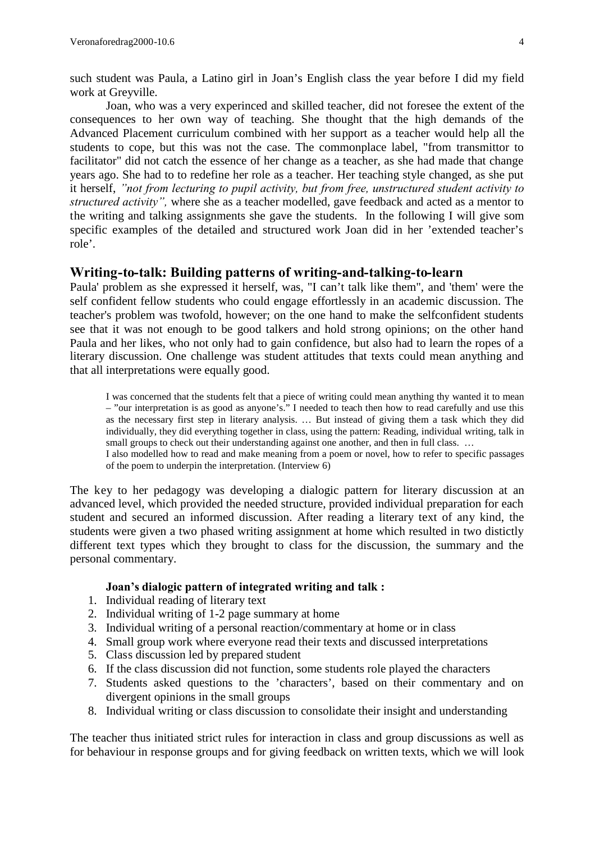such student was Paula, a Latino girl in Joan's English class the year before I did my field work at Greyville.

Joan, who was a very experinced and skilled teacher, did not foresee the extent of the consequences to her own way of teaching. She thought that the high demands of the Advanced Placement curriculum combined with her support as a teacher would help all the students to cope, but this was not the case. The commonplace label, "from transmittor to facilitator" did not catch the essence of her change as a teacher, as she had made that change years ago. She had to to redefine her role as a teacher. Her teaching style changed, as she put it herself, *"not from lecturing to pupil activity, but from free, unstructured student activity to structured activity",* where she as a teacher modelled, gave feedback and acted as a mentor to the writing and talking assignments she gave the students. In the following I will give som specific examples of the detailed and structured work Joan did in her 'extended teacher's role'.

#### **Writing-to-talk: Building patterns of writing-and-talking-to-learn**

Paula' problem as she expressed it herself, was, "I can't talk like them", and 'them' were the self confident fellow students who could engage effortlessly in an academic discussion. The teacher's problem was twofold, however; on the one hand to make the selfconfident students see that it was not enough to be good talkers and hold strong opinions; on the other hand Paula and her likes, who not only had to gain confidence, but also had to learn the ropes of a literary discussion. One challenge was student attitudes that texts could mean anything and that all interpretations were equally good.

I was concerned that the students felt that a piece of writing could mean anything thy wanted it to mean – "our interpretation is as good as anyone's." I needed to teach then how to read carefully and use this as the necessary first step in literary analysis. … But instead of giving them a task which they did individually, they did everything together in class, using the pattern: Reading, individual writing, talk in small groups to check out their understanding against one another, and then in full class. ...

I also modelled how to read and make meaning from a poem or novel, how to refer to specific passages of the poem to underpin the interpretation. (Interview 6)

The key to her pedagogy was developing a dialogic pattern for literary discussion at an advanced level, which provided the needed structure, provided individual preparation for each student and secured an informed discussion. After reading a literary text of any kind, the students were given a two phased writing assignment at home which resulted in two distictly different text types which they brought to class for the discussion, the summary and the personal commentary.

#### **Joan's dialogic pattern of integrated writing and talk :**

- 1. Individual reading of literary text
- 2. Individual writing of 1-2 page summary at home
- 3. Individual writing of a personal reaction/commentary at home or in class
- 4. Small group work where everyone read their texts and discussed interpretations
- 5. Class discussion led by prepared student
- 6. If the class discussion did not function, some students role played the characters
- 7. Students asked questions to the 'characters', based on their commentary and on divergent opinions in the small groups
- 8. Individual writing or class discussion to consolidate their insight and understanding

The teacher thus initiated strict rules for interaction in class and group discussions as well as for behaviour in response groups and for giving feedback on written texts, which we will look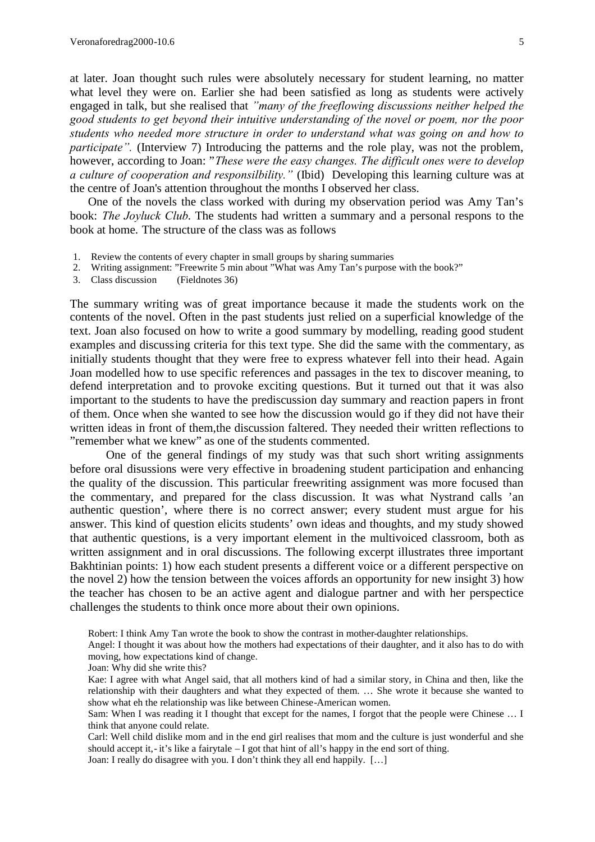at later. Joan thought such rules were absolutely necessary for student learning, no matter what level they were on. Earlier she had been satisfied as long as students were actively engaged in talk, but she realised that *"many of the freeflowing discussions neither helped the good students to get beyond their intuitive understanding of the novel or poem, nor the poor students who needed more structure in order to understand what was going on and how to participate*". (Interview 7) Introducing the patterns and the role play, was not the problem, however, according to Joan: "*These were the easy changes. The difficult ones were to develop a culture of cooperation and responsilbility."* (Ibid) Developing this learning culture was at the centre of Joan's attention throughout the months I observed her class.

One of the novels the class worked with during my observation period was Amy Tan's book: *The Joyluck Club*. The students had written a summary and a personal respons to the book at home. The structure of the class was as follows

- 1. Review the contents of every chapter in small groups by sharing summaries
- 2. Writing assignment: "Freewrite 5 min about "What was Amy Tan's purpose with the book?"
- 3. Class discussion (Fieldnotes 36)

The summary writing was of great importance because it made the students work on the contents of the novel. Often in the past students just relied on a superficial knowledge of the text. Joan also focused on how to write a good summary by modelling, reading good student examples and discussing criteria for this text type. She did the same with the commentary, as initially students thought that they were free to express whatever fell into their head. Again Joan modelled how to use specific references and passages in the tex to discover meaning, to defend interpretation and to provoke exciting questions. But it turned out that it was also important to the students to have the prediscussion day summary and reaction papers in front of them. Once when she wanted to see how the discussion would go if they did not have their written ideas in front of them,the discussion faltered. They needed their written reflections to "remember what we knew" as one of the students commented.

One of the general findings of my study was that such short writing assignments before oral disussions were very effective in broadening student participation and enhancing the quality of the discussion. This particular freewriting assignment was more focused than the commentary, and prepared for the class discussion. It was what Nystrand calls 'an authentic question', where there is no correct answer; every student must argue for his answer. This kind of question elicits students' own ideas and thoughts, and my study showed that authentic questions, is a very important element in the multivoiced classroom, both as written assignment and in oral discussions. The following excerpt illustrates three important Bakhtinian points: 1) how each student presents a different voice or a different perspective on the novel 2) how the tension between the voices affords an opportunity for new insight 3) how the teacher has chosen to be an active agent and dialogue partner and with her perspectice challenges the students to think once more about their own opinions.

Robert: I think Amy Tan wrote the book to show the contrast in mother-daughter relationships.

Angel: I thought it was about how the mothers had expectations of their daughter, and it also has to do with moving, how expectations kind of change.

Joan: Why did she write this?

Kae: I agree with what Angel said, that all mothers kind of had a similar story, in China and then, like the relationship with their daughters and what they expected of them. … She wrote it because she wanted to show what eh the relationship was like between Chinese-American women.

Sam: When I was reading it I thought that except for the names, I forgot that the people were Chinese ... I think that anyone could relate.

Carl: Well child dislike mom and in the end girl realises that mom and the culture is just wonderful and she should accept it, - it's like a fairytale – I got that hint of all's happy in the end sort of thing.

Joan: I really do disagree with you. I don't think they all end happily. […]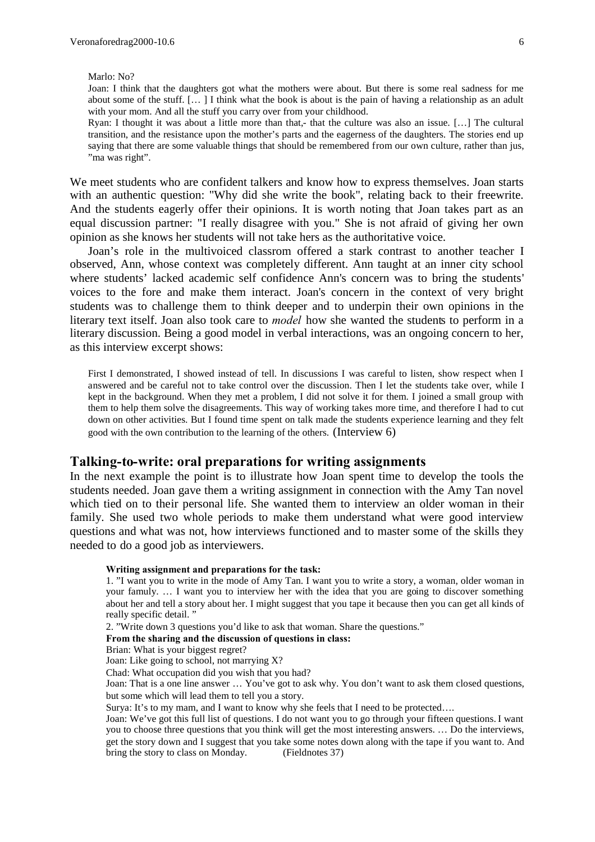Marlo: No?

Joan: I think that the daughters got what the mothers were about. But there is some real sadness for me about some of the stuff. [… ] I think what the book is about is the pain of having a relationship as an adult with your mom. And all the stuff you carry over from your childhood.

Ryan: I thought it was about a little more than that,- that the culture was also an issue. […] The cultural transition, and the resistance upon the mother's parts and the eagerness of the daughters. The stories end up saying that there are some valuable things that should be remembered from our own culture, rather than jus, "ma was right".

We meet students who are confident talkers and know how to express themselves. Joan starts with an authentic question: "Why did she write the book", relating back to their freewrite. And the students eagerly offer their opinions. It is worth noting that Joan takes part as an equal discussion partner: "I really disagree with you." She is not afraid of giving her own opinion as she knows her students will not take hers as the authoritative voice.

Joan's role in the multivoiced classrom offered a stark contrast to another teacher I observed, Ann, whose context was completely different. Ann taught at an inner city school where students' lacked academic self confidence Ann's concern was to bring the students' voices to the fore and make them interact. Joan's concern in the context of very bright students was to challenge them to think deeper and to underpin their own opinions in the literary text itself. Joan also took care to *model* how she wanted the students to perform in a literary discussion. Being a good model in verbal interactions, was an ongoing concern to her, as this interview excerpt shows:

First I demonstrated, I showed instead of tell. In discussions I was careful to listen, show respect when I answered and be careful not to take control over the discussion. Then I let the students take over, while I kept in the background. When they met a problem, I did not solve it for them. I joined a small group with them to help them solve the disagreements. This way of working takes more time, and therefore I had to cut down on other activities. But I found time spent on talk made the students experience learning and they felt good with the own contribution to the learning of the others. (Interview 6)

#### **Talking-to-write: oral preparations for writing assignments**

In the next example the point is to illustrate how Joan spent time to develop the tools the students needed. Joan gave them a writing assignment in connection with the Amy Tan novel which tied on to their personal life. She wanted them to interview an older woman in their family. She used two whole periods to make them understand what were good interview questions and what was not, how interviews functioned and to master some of the skills they needed to do a good job as interviewers.

#### **Writing assignment and preparations for the task:**

1. "I want you to write in the mode of Amy Tan. I want you to write a story, a woman, older woman in your famuly. … I want you to interview her with the idea that you are going to discover something about her and tell a story about her. I might suggest that you tape it because then you can get all kinds of really specific detail.'

2. "Write down 3 questions you'd like to ask that woman. Share the questions."

#### **From the sharing and the discussion of questions in class:**

Brian: What is your biggest regret?

Joan: Like going to school, not marrying X?

Chad: What occupation did you wish that you had?

Joan: That is a one line answer … You've got to ask why. You don't want to ask them closed questions, but some which will lead them to tell you a story.

Surya: It's to my mam, and I want to know why she feels that I need to be protected….

Joan: We've got this full list of questions. I do not want you to go through your fifteen questions. I want you to choose three questions that you think will get the most interesting answers. … Do the interviews, get the story down and I suggest that you take some notes down along with the tape if you want to. And bring the story to class on Monday. (Fieldnotes 37) bring the story to class on Monday.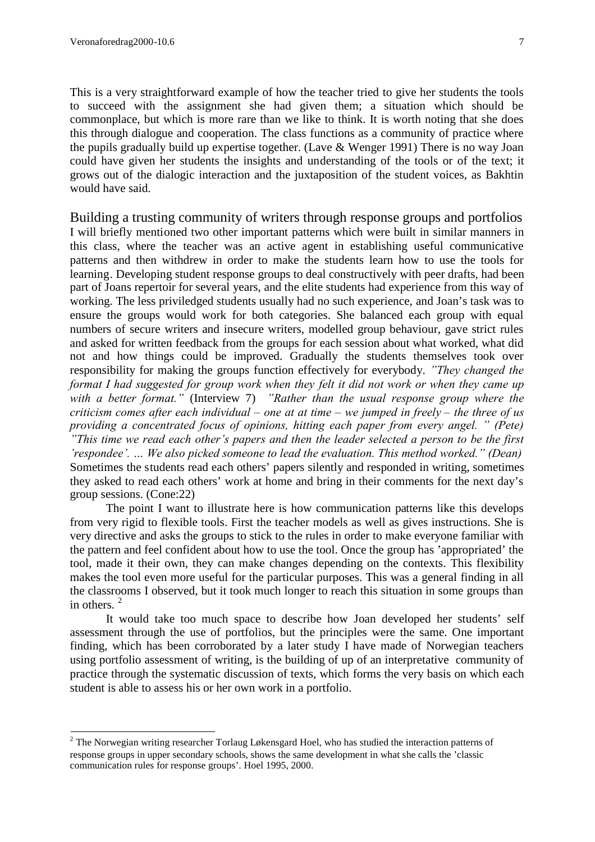This is a very straightforward example of how the teacher tried to give her students the tools to succeed with the assignment she had given them; a situation which should be commonplace, but which is more rare than we like to think. It is worth noting that she does this through dialogue and cooperation. The class functions as a community of practice where the pupils gradually build up expertise together. (Lave & Wenger 1991) There is no way Joan could have given her students the insights and understanding of the tools or of the text; it grows out of the dialogic interaction and the juxtaposition of the student voices, as Bakhtin would have said.

Building a trusting community of writers through response groups and portfolios I will briefly mentioned two other important patterns which were built in similar manners in this class, where the teacher was an active agent in establishing useful communicative patterns and then withdrew in order to make the students learn how to use the tools for learning. Developing student response groups to deal constructively with peer drafts, had been part of Joans repertoir for several years, and the elite students had experience from this way of working. The less priviledged students usually had no such experience, and Joan's task was to ensure the groups would work for both categories. She balanced each group with equal numbers of secure writers and insecure writers, modelled group behaviour, gave strict rules and asked for written feedback from the groups for each session about what worked, what did not and how things could be improved. Gradually the students themselves took over responsibility for making the groups function effectively for everybody. *"They changed the format I had suggested for group work when they felt it did not work or when they came up with a better format."* (Interview 7) *"Rather than the usual response group where the criticism comes after each individual – one at at time – we jumped in freely – the three of us providing a concentrated focus of opinions, hitting each paper from every angel. " (Pete) "This time we read each other's papers and then the leader selected a person to be the first 'respondee'. … We also picked someone to lead the evaluation. This method worked." (Dean)* Sometimes the students read each others' papers silently and responded in writing, sometimes they asked to read each others' work at home and bring in their comments for the next day's group sessions. (Cone:22)

The point I want to illustrate here is how communication patterns like this develops from very rigid to flexible tools. First the teacher models as well as gives instructions. She is very directive and asks the groups to stick to the rules in order to make everyone familiar with the pattern and feel confident about how to use the tool. Once the group has 'appropriated' the tool, made it their own, they can make changes depending on the contexts. This flexibility makes the tool even more useful for the particular purposes. This was a general finding in all the classrooms I observed, but it took much longer to reach this situation in some groups than in others.<sup>2</sup>

It would take too much space to describe how Joan developed her students' self assessment through the use of portfolios, but the principles were the same. One important finding, which has been corroborated by a later study I have made of Norwegian teachers using portfolio assessment of writing, is the building of up of an interpretative community of practice through the systematic discussion of texts, which forms the very basis on which each student is able to assess his or her own work in a portfolio.

<sup>&</sup>lt;sup>2</sup> The Norwegian writing researcher Torlaug Løkensgard Hoel, who has studied the interaction patterns of response groups in upper secondary schools, shows the same development in what she calls the 'classic communication rules for response groups'. Hoel 1995, 2000.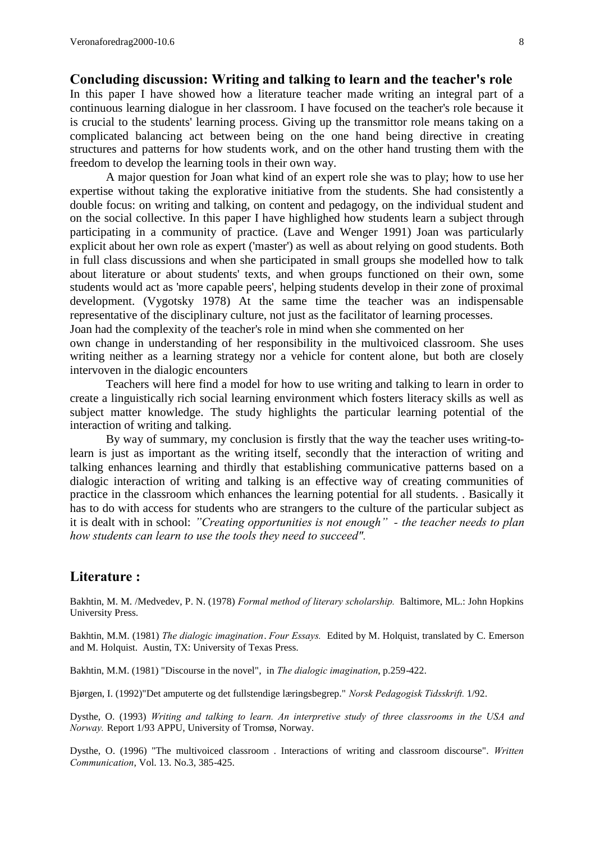### **Concluding discussion: Writing and talking to learn and the teacher's role**

In this paper I have showed how a literature teacher made writing an integral part of a continuous learning dialogue in her classroom. I have focused on the teacher's role because it is crucial to the students' learning process. Giving up the transmittor role means taking on a complicated balancing act between being on the one hand being directive in creating structures and patterns for how students work, and on the other hand trusting them with the freedom to develop the learning tools in their own way.

A major question for Joan what kind of an expert role she was to play; how to use her expertise without taking the explorative initiative from the students. She had consistently a double focus: on writing and talking, on content and pedagogy, on the individual student and on the social collective. In this paper I have highlighed how students learn a subject through participating in a community of practice. (Lave and Wenger 1991) Joan was particularly explicit about her own role as expert ('master') as well as about relying on good students. Both in full class discussions and when she participated in small groups she modelled how to talk about literature or about students' texts, and when groups functioned on their own, some students would act as 'more capable peers', helping students develop in their zone of proximal development. (Vygotsky 1978) At the same time the teacher was an indispensable representative of the disciplinary culture, not just as the facilitator of learning processes. Joan had the complexity of the teacher's role in mind when she commented on her

own change in understanding of her responsibility in the multivoiced classroom. She uses writing neither as a learning strategy nor a vehicle for content alone, but both are closely intervoven in the dialogic encounters

Teachers will here find a model for how to use writing and talking to learn in order to create a linguistically rich social learning environment which fosters literacy skills as well as subject matter knowledge. The study highlights the particular learning potential of the interaction of writing and talking.

By way of summary, my conclusion is firstly that the way the teacher uses writing-tolearn is just as important as the writing itself, secondly that the interaction of writing and talking enhances learning and thirdly that establishing communicative patterns based on a dialogic interaction of writing and talking is an effective way of creating communities of practice in the classroom which enhances the learning potential for all students. . Basically it has to do with access for students who are strangers to the culture of the particular subject as it is dealt with in school: *"Creating opportunities is not enough" - the teacher needs to plan how students can learn to use the tools they need to succeed".*

### **Literature :**

Bakhtin, M. M. /Medvedev, P. N. (1978) *Formal method of literary scholarship.* Baltimore, ML.: John Hopkins University Press.

Bakhtin, M.M. (1981) *The dialogic imagination*. *Four Essays.* Edited by M. Holquist, translated by C. Emerson and M. Holquist. Austin, TX: University of Texas Press.

Bakhtin, M.M. (1981) "Discourse in the novel", in *The dialogic imagination*, p.259-422.

Bjørgen, I. (1992)"Det amputerte og det fullstendige læringsbegrep." *Norsk Pedagogisk Tidsskrift.* 1/92.

Dysthe, O. (1993) *Writing and talking to learn. An interpretive study of three classrooms in the USA and Norway.* Report 1/93 APPU, University of Tromsø, Norway.

Dysthe, O. (1996) "The multivoiced classroom . Interactions of writing and classroom discourse". *Written Communication*, Vol. 13. No.3, 385-425.